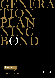



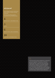### utmost WEALTH SOLUTIONS

Utmost Wealth Solutions is the brand name used by a number of Utmost companies.

The Generation Planning Bond is issued by Utmost PanEurope dac.

 $\angle$ IMPORTANT INFORMATION

5 **RISKS** 

6 QUESTIONS AND ANSWERS

10 FURTHER INFORMATION  $\bigcirc$ The Financial Conduct Authority is a financial services regulator. It requires us, Utmost PanEurope dac, to give you this important information to help you to decide whether the Generation Planning Bond is right for you. You should read this document carefully so that you understand what you are buying, and then keep it safe for future reference.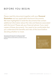# B efore you begin

Please read this document together with your Personal Illustration and any applicable disclosure documents. We have highlighted in bold the documents that contain additional information about the risks and features associated with this bond. Please ask your financial adviser if you need copies of these documents. You need to be comfortable that you understand the benefits and risks of this bond before deciding whether to invest.

The purpose of this document is to help you to make an informed decision. However, you are required to seek professional financial advice before you decide to purchase this bond.



Wherever you see this icon it highlights that further information on the subject can be found within the Product Guide. The Product Guide relevant section for your ease of reference.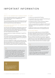# I mportant I nformation

#### WHAT IS THE GENERATION PLANNING BOND?

It is an international single premium capital redemption bond, combined with a trust, managed by your appointed trustees.

Your investment purchases units in funds linked to the stock markets and deposits and combines your investment with that of investors who have similar objectives.

#### WHO SHOULD CONSIDER THE GENERATION PLANNING BOND?

The Generation Planning Bond is designed for people who wish to reduce their UK Inheritance Tax (IHT) liability and can give up access to their capital forever, but still need to receive regular payments (for ease, referred to as 'income') from their capital during their lifetime.

'Income' payments are regular withdrawals of capital from the bond.

As the bond cannot be surrendered during your lifetime, nor can the 'income' payments be amended or suspended in any way, it may not be appropriate for you if you have no other form of savings or income.

This bond is designed for single or joint investors who are 50 or over, married or in a civil partnership and have estate planning requirements and a need for an 'income' from their investment. The maximum age for applicants at the start of the bond (before and after underwriting) is 94 years.

The Generation Planning Bond is complex, and it is strongly recommended that you seek professional advice on a face-to-face basis. This document should be read together with the advice from your financial adviser. We accept no responsibility for the consequences of your investment in the bond, including the product suitability and personal tax position.

#### ITS AIMS

- $\rightarrow$  to reduce your potential UK IHT liability
- $\rightarrow$  to increase the value of your investment by allowing you to select from a wide range of funds
- $\rightarrow$  to provide you with an 'income' during your lifetime, or until the value of the bond reduces to zero
- › to allow you to benefit from tax deferral on that 'income' during your lifetime where applicable or until capital is exhausted
- $\rightarrow$  to allow you to pass on your remaining wealth to your beneficiaries under the terms of an appropriate trust.

#### YOUR INVESTMENT

You must invest a single lump sum of at least £50,000. No further investment into the bond can be made during your lifetime. With the exception of preset 'income' payments, you must be willing to give up access to your capital.

After your death (or the death of you and your spouse or civil partner in the case of a joint application), additional single premiums can be made. Additional premiums attract their own charges at the rates applicable at the time they are made, and each will have its own cancellation rights.

If you ask us to pay an initial charge for advice from the payment you send to us before the premium is invested, the amount you send must total at least the minimum investment amount as stated above, plus any agreed charges for advice.

See the 'What charges for advice can be facilitated?' section on page 6 for more information about the different types of charges we can facilitate.



Read the 'Generation Planning Bond Essentials' section of the **Product Guide** for further information.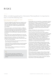# R isks

When considering applying for a Generation Planning Bond, it is important to bear in mind the following risks:

#### RISKS RELATING TO LINKING YOUR INVESTMENTS TO FUNDS

- $\rightarrow$  The funds available through the bond are linked to stock markets and other investments. Their value will fall and rise in line with these markets and is not guaranteed. This means that your trustees may get back less than you invested
- $\rightarrow$  If the bond invests in a fund denominated in a different currency from the bond, a currency conversion will apply. All costs and exchange risks associated with currency conversion will be charged to the bond. You should bear in mind that currency fluctuations may affect the value of the bond
- › If the growth of your selected fund(s) does not cover the charges, then this will reduce the value of your investment
- $\rightarrow$  Some of the funds in which you can invest may carry additional risks because of the types of assets they invest in. Here are a few examples:
- The value of funds that invest overseas may fall and rise due to changes in exchange rates
- Funds that invest in emerging markets may show greater performance volatility due to the nature of the assets held by the fund
- There may be a delay in accessing your money if you invest in property funds.

There are other risks which could affect the performance of the funds that you invest in. For more details please discuss with your financial adviser.

#### **GENERAL**

- › Policyholders are not covered by a compensation scheme if we become insolvent. In circumstances such as when a fund manager or a deposit taker such as a bank or building society were to fail, because of the nature of this investment, it is unlikely that the policyholders would be covered by any compensation scheme. Please see the 'Compensation' section in this document for further information
- › Inflation will reduce the value of what can be bought in the future with the proceeds of the bond
- › The tax treatment of the Generation Planning Bond cannot be guaranteed as tax law and practice may change in the future or differ from our interpretation. Therefore the value of the tax benefits provided by this bond may change, which could result in a higher amount of UK IHT being paid by you or your estate than you expected. The tax treatment of the bond (including the treatment of 'income' payments) also depends on your individual circumstances and may change
- › The Generation Planning Bond requires that you take an 'income' in the form of regular withdrawals of capital. Withdrawals, including any charges for advice, may reduce the value of your investment below its original value, especially at times when investment growth is low or when the level of withdrawals is higher than growth of your chosen investment after charges. In addition the potential for growth may be lower than that indicated in your Personal Illustration
- › If the trustees agree to pay any ad hoc adviser charges from the bond, any tax liability created may fall on the Settlor or the beneficiaries depending on the type of trust created and the circumstances of the trust at the time
- $\rightarrow$  The bond's charges may increase in the future, beyond those shown in your Personal Illustration.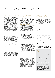# Q uestions and A nswers

### 1. CAN I CHANGE MY MIND?

You currently have 30 days to cancel the bond. The 30 days begin on the day you receive the Your Right To Change Your Mind Form. If for any reason you decide that you do not want to take out this bond, return the form within 30 days to our address detailed on page 12 and we will give you your money back minus any amount relating to any charges for advice already paid. If necessary, you will need to reclaim any refundable payments in relation to these charges directly from the relevant party.

If the value of the investment falls before we receive your cancellation form, an amount equal to the fall in value will be deducted from any refund you receive. However, if the value of the investment has increased you will only get back the amount of your initial investment, minus any charges for advice already paid.

If the bond is linked to assets which cannot be cashed in easily, such as fixed-term deposits or funds with infrequent dealing days, it may be some considerable time before the asset can be sold or redeemed and your money returned to you. If there are any penalties imposed by the deposit taker or fund manager for early cancellation these will be passed on to you.

If you do not exercise your right to cancel within the 30 days cancellation period your bond will continue in accordance with the policy terms and conditions.

#### 2. WHAT CHARGES DO YOU APPLY?

The current charges we take for running the bond are shown in your Personal Illustration. More detailed information on charges can be found in our separate Guide to Charges available from our website www.utmostinternational.com or from your financial adviser on request. It is important that you read the Personal Illustration and the Guide to Charges together with this Key Features Document and any other applicable disclosure documents.

Summaries of the charges applicable are below:

- › Standard Product Charges We apply these charges (administration and Flex-Charge) to the bond to cover the set up and administration of the bond
- › Conditional Charges Whether or not your trustees pay these charges depends on the options chosen when managing the investment
- › Investment Charges and Costs These charges are for the investment and fund choices you or your trustees make. They depend on the funds and investment services chosen, and include any charges made by the underlying fund manager for running the fund.

There may be factors which result in changes to our charges if our costs change unexpectedly, for example if tax rules change. We'll tell your trustees if this happens.

However, administration and dealing charges will be increased on 1 January each year in line with the UK Retail Prices Index without any notification to the policyholders. Payment charges are based on bank charges we incur in making the payment and are subject to increase without notice where the charges incurred by us increase.

It's important to note that charges reduce the value of the bond and its growth potential.

#### 3. WHAT CHARGES FOR ADVICE CAN BE FACILITATED?

We can facilitate charges for advice provided by an appointed financial adviser, investment adviser or External Manager and/or Custodian (EMC) in the following ways:

- **Outside of the bond** for advice provided by the financial adviser, an initial adviser charge can be facilitated by us outside of the bond before your premium is invested. If you would like us to facilitate an initial charge outside of the bond, you will need to complete the relevant section within the application form
- Inside of the bond Ongoing or ad hoc charges can be facilitated as a payment from the value of bond after the premium is invested. Any charges for advice which are agreed to be paid from the value of the bond must be requested by the trustees and they will need to complete the relevant sections in the Adviser Charges pack.

Further details on charges for advice can be found in our **Guide to Charges**.

If you, or where appropriate the trustees, choose to pay any charges for advice from the value of the bond, then, depending on the type of advice provided, the charge may form part of your 5% annual tax-deferred entitlement. Therefore, it is important you discuss the tax consequences of your chosen method of payment with your financial adviser before your investment is set up. For further details about the different types of advice and the tax implications, please see the charges for advice section of our Guide to Charges.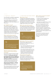#### 4. HOW DO I INVEST?

You will need to complete an application form and a Deed to create a trust.

You should make your investment by Telegraphic Transfer (international payment). Your bank may charge you for this service.

#### Am I eligible to invest?

The maximum age for applicants at the start of the bond (before and after underwriting) is 94 years. Your 'rated age' is your age after we have assessed your life expectancy through underwriting. If your rated age after underwriting is over 94, we will be unable to proceed with your application.

#### Why is underwriting required?

Underwriting allows us to calculate more accurately the amount that falls outside your estate for IHT purposes.



Further information can be found in the 'Could the Generation Planning Bond work for you?' section in the **Product Guide.** 

#### What do I need to do if I want to appoint Utmost Trustee Solutions as Trustee?

If you wish to appoint Utmost Trustee Solutions as trustee, you will need to complete the Generation Planning Bond Application Form for Applicants Who Wish to Appoint Utmost Trustee Solutions as Trustee. This contains the appointments and agreements needed to appoint them and to set up the trust. You should also read Utmost Trustee Solutions — A Guide To Our Services available from us or your financial adviser on request.

The company details for Utmost Trustee Solutions Limited can be found in the footer at the end of this document.

#### 5. HOW DOES MY BOND WORK?

#### Why is there a Trust?

To reduce your potential UK inheritance tax liability, it is important to separate this investment from your estate. You do this by placing the investment into a trust. You gift the money to the trust and will no longer have access to your capital.

#### What is the role of the trustees?

Your appointed trustees manage the trust for the benefit of the beneficiaries and may invest the trust fund as if they were the owners. They therefore have control over your investment.



For details on choosing trustees, see the 'Trust arrangements' section of the Product Guide.

#### What types of Trusts are available?

There are two types of trust to choose from: an Absolute Trust or a Discretionary Trust.

- › If you select the Absolute Trust, you name your beneficiaries at the start and they cannot be changed
- › If you select the Discretionary Trust, your trustees will have the power to decide who is to benefit from the classes of potential beneficiaries described in the trust document.

#### How are the Trusts taxed?

It will depend on whether you have chosen an Absolute Trust or a Discretionary Trust and where your trustees or beneficiaries are resident or otherwise subject to tax.



You can find more information on this in the 'What are the UK tax implications?' section in the Product Guide.

#### Where will my money be invested? You can choose from:

- › a variety of funds available from a wide range of investment management groups
- › cash deposits available from a range of banks and building societies.

We set up a Dealing Account so that money can be held ready for investment or withdrawal. It can become overdrawn, possibly due to product charges or charges for advice being taken, and in such instances interest charges will be applied on this debit balance.

The minimum investment amount per fund or cash deposit will be determined by the investment manager.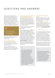# Q uestions and A nswers

The Generation Planning Bond requires that you take an 'income' in the form of regular withdrawals of capital. Certain funds may have an extended notice period before any withdrawals can be taken, or may contain clauses in the fund prospectus that could delay redemptions in certain circumstances. Such funds may not be appropriate for this product.

Further information can be found in the 'What are my investment options?' section of the Product Guide.

Full details regarding funds can be obtained from the relevant fund manager.

### Can the trustees change the

investments linked to the bond? Yes, we will accept instructions from your trustees or an appointed investment adviser.

There is a charge for the sale and purchase of each fund or cash deposit. See your Personal Illustration for details of the current charge.

#### Can I nominate an investment adviser or an External Manager and/or Custodian (EMC) to be appointed?

Yes. With our agreement you may ask us to take instructions from your nominated investment adviser on the initial fund choice and subsequent fund switches. All charges applied by an investment adviser will be treated as a charge for advice.

However, they will not count towards your 5% annual tax-deferred entitlement.

If we are asked to appoint an EMC, the standard quarterly administration charge we apply for EMC cases will be applicable to each EMC appointed. In cases where the EMC is able to provide electronic valuations, in a format acceptable to us, the administration charge may be reduced. The applicable administration charge will be shown in your Personal Illustration. Refer to our Guide to Charges for details of our current administration charges. In addition to the charges we apply, the appointed EMC will also charge for their service.

If you, or where appropriate the trustees, choose to pay any charges for advice from the value of the bond, then depending on the type of advice provided, the charge may form part of your 5% annual tax-deferred entitlement. Speak to your financial adviser about potential tax implications connected with paying for advice from the value of the bond before investing or setting up any agreements to pay such charges.

#### How will I know what the bond is worth?

We will send the trustees an annual valuation statement on each policy anniversary. They can also register on our website at

#### www.utmostinternational.com

to obtain valuations online at any time. If additional paper valuations are requested there will be a charge. For details of the current rate please contact us on +44 (0)1624 643 345.

#### 6 . C an I stop ' INCOME' PAYMENTS?

You must take a regular 'income' and you must decide how much 'income' you wish to take, either fixed or increasing, when you complete the application form. 'Income' payments are actually withdrawals of capital. You cannot change this during your lifetime or take additional withdrawals. If the value of the bond reduces to zero your 'income' payments will stop.

It is important to note that if you do not spend the 'income' you receive, it will remain inside your estate and may be liable to UK inheritance tax on death.

Any adviser charges paid to a financial adviser (on any matters not relating to investment advice or related services), which the trustees have agreed to be paid through the bond, will be treated as a withdrawal from the bond and will form part of the bond's 5% annual tax-deferred entitlement.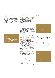#### 7. C an I surrender THE BOND?

You cannot surrender the bond. It can only be surrendered or partially surrendered by your trustees, after your death (or after both of you have died on a joint application).

Outstanding charges may apply on partial or full surrenders and the amount received will depend on the value of the bond at that time which can be less than invested. There is a charge for the sale of any external funds and withdrawals from cash deposits. There may be a charge for breaking a fixed deposit early or for not providing any required notice period.

Read the 'Getting money from the bond' section of the Product Guide for more information.

#### 8. WHAT ABOUT TAX?

#### Will I have to pay tax on the 'income'?

If you are a UK tax resident, you are currently entitled to withdraw 5% of the original investment amount each policy year for 20 years and defer any Income Tax payable.

If you do not take your full 5% taxdeferred entitlement in any policy year, the unused amount is carried forward for use in future years.

If you withdraw more than 5% of the original investment in any policy year then the excess will give rise to a chargeable gain and may become liable to Income Tax.

This liability may fall on the Settlor/ Donor or beneficiaries depending on the type of trust chosen and the circumstances of the trust at that time.

#### Is there any tax on the funds?

We do not pay Capital Gains Tax or Income Tax in Ireland on investments held on behalf of our investors, so any investment, income or gains in these funds are allowed to grow free of these taxes. The only tax to which funds may be liable is that which is deducted at source together with stamp and transfer taxes, and cannot be reclaimed.

#### Do I need to know anything else about tax ?

Yes, how the proceeds taken from the bond are taxed is a complex issue.

The responsibility for any tax liability can depend on a number of factors. These include where you, your trustees and beneficiaries are resident or otherwise subject to tax and which type of trust you have selected.

For UK resident policyholders we will tell HM Revenue & Customs about any proceeds if this creates a chargeable gain subject to income tax. We recommend that you speak to your financial adviser.

The information contained in this document is based on our interpretation of current law and taxation practice in the UK and Ireland as at 1 April 2021. Tax treatment is subject to change and depends on individual circumstances.



Read the 'What are the UK tax implications?' section of the **Product Guide** for further information.

#### 9. What happens to the bond when I die?

As it is a capital redemption bond and has a fixed term of 99 years, it doesn't end on death. Following your death (and that of your spouse or civil partner for joint applications), 'income' payments will stop. Your trustees can choose to leave the bond invested, assign the bond to the beneficiaries or surrender the bond to distribute the proceeds to your beneficiaries, in line with the trust document. If the bond is to remain invested following your death, any charges applicable to the bond will continue.



For further information on charges, see the 'What are the charges for the Generation Planning Bond?' section in the Product Guide.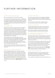# FURTHER INFORMATION

#### Authorised and regulated

We are authorised by the Central Bank of Ireland.

As well as holding enough assets to meet our liabilities to our investors, we also hold an additional amount of capital to satisfy the requirements of the Central Bank of Ireland. This additional capital is called solvency margin. We report our solvency position to the Central Bank of Ireland on a regular basis.

#### Compensation

As the assets to which the value of the bond is linked are held in our name, you are unlikely to have any right to compensation if the firm which manages those assets, such as a bank or fund manager, fails. This includes any right that individuals investing directly in the bank or fund manager might have to make a claim from a compensation scheme. If this happened, the value of that part of your investment is likely to be limited to any amount that we can recover from the failed bank or fund manager.

Utmost PanEurope is not covered by any investor compensation scheme. We segregate policyholder assets from our other assets and deposit them with independent institutions. In the unlikely event of our insolvency, policyholder claims have absolute precedence over all other claims with regard to policyholder assets, once the costs of liquidation have been met.

Irish law protects policyholder assets by imposing strict capital management rules and controls to prevent insurer insolvency.

#### HOW WE USE YOUR INFORMATION

Our Privacy Notice explains when and why we collect personal information about our customers, how we use it, the conditions under which we may share it with others and how we keep it secure. It also explains how long we keep your information for, how you can obtain details of the information we keep and the choices you have about how we use that information. You can find a copy on our website at www.utmostinternational.com or you can ring our Customer Service team on 0845 602 9281 and request a copy.

#### LAW AND LANGUAGE

The bond is governed by the laws of England and Wales and accordingly the High Courts of England and Wales shall have exclusive jurisdiction to decide any disputes that may arise.

Your contract documents will be in English and any communications we send to you will be in English.

#### Financial advisers

Your financial adviser will provide you with information regarding their identity, the capacity in which they are acting and their address for future communications.

If you have any questions regarding the Generation Planning Bond, please contact your financial adviser.

#### KEY FEATURES DOCUMENT & PERSONAL II LUSTRATION INFORMATION

If the Personal Illustration you have been given contains an expiry date and you wish to make an application after this date, please ask your financial adviser for a new Personal Illustration, Key Features Document and any applicable key disclosure documents.

If the intention is to request us to deduct charges for advice on your or the trustees' behalf, either from your payment to us or from the value of the bond, please ensure the details of the charge match those shown on the Personal Illustration provided to you by your financial adviser.

This Key Features Document was produced in December 2021. If you are not sure if you have the most up-to-date version, please speak to your financial adviser.

#### TERMS AND CONDITIONS

These Key Features give a summary of the Generation Planning Bond. They don't include all the definitions, exclusions, and terms and conditions. These are shown in the Policy Schedule and Policy Conditions.

If you would like a copy please ask your financial adviser or us.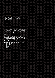### **COMPLAINTS**

If, for any reason you are not satisfied with our service then please address your complaint to our Head of Customer Services.

Post: Utmost PanEurope dac

Ashford House Tara Street Dublin 2 D02 VX67 Ireland

### **OMBUDSMAN**

We will do everything in our power to resolve a complaint and in many cases can rectify the issue direct with our client. However, on occasion you may wish to deal with an outside mediator to obtain a resolution. Ireland offers the protection of a Financial Services and Pensions Ombudsman Scheme.

The Scheme is specifically aimed at individuals, limited companies with a turnover of less than €3 million, charities, club trusts and partnerships. For further information on this, please visit www.fspo.ie

#### The Ombudsman's contact details are:

Post: Financial Services and Pensions Ombudsman Lincoln House Lincoln Place Dublin 2 Ireland D02 VH29

Tel: 00 353 1 567 7000